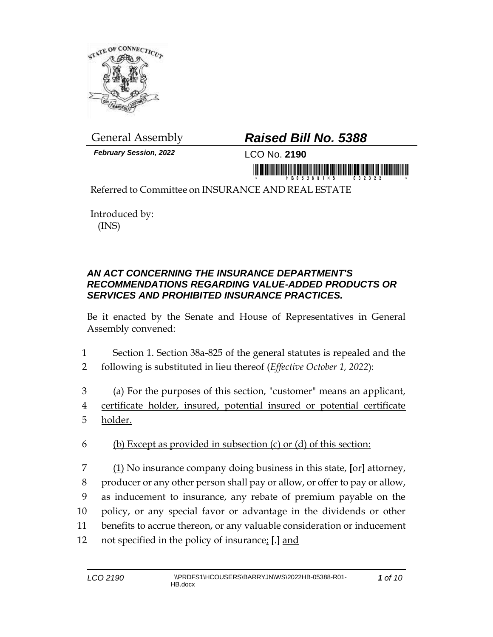

*February Session, 2022* LCO No. **2190**

## General Assembly *Raised Bill No. 5388*

imumulikiisi ikinii munisiisi ja muni

Referred to Committee on INSURANCE AND REAL ESTATE

Introduced by: (INS)

## *AN ACT CONCERNING THE INSURANCE DEPARTMENT'S RECOMMENDATIONS REGARDING VALUE-ADDED PRODUCTS OR SERVICES AND PROHIBITED INSURANCE PRACTICES.*

Be it enacted by the Senate and House of Representatives in General Assembly convened:

- 1 Section 1. Section 38a-825 of the general statutes is repealed and the
- 2 following is substituted in lieu thereof (*Effective October 1, 2022*):
- 3 (a) For the purposes of this section, "customer" means an applicant,
- 4 certificate holder, insured, potential insured or potential certificate 5 <u>holder.</u>
- 6 (b) Except as provided in subsection  $(c)$  or  $(d)$  of this section:
- 7 (1) No insurance company doing business in this state, **[**or**]** attorney, 8 producer or any other person shall pay or allow, or offer to pay or allow, 9 as inducement to insurance, any rebate of premium payable on the 10 policy, or any special favor or advantage in the dividends or other 11 benefits to accrue thereon, or any valuable consideration or inducement 12 not specified in the policy of insurance; **[**.**]** and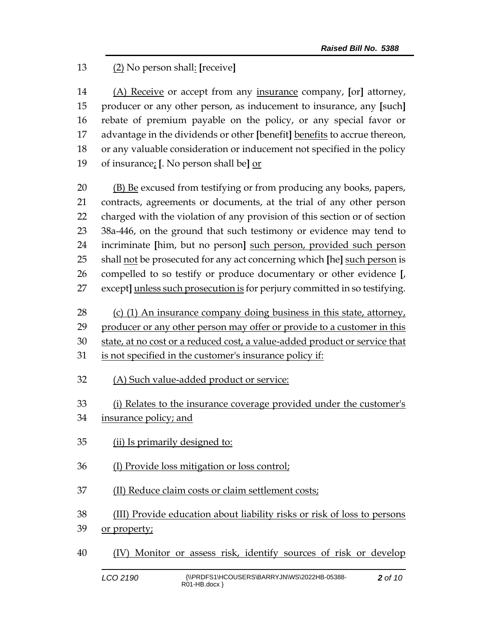## (2) No person shall: **[**receive**]**

 (A) Receive or accept from any insurance company, **[**or**]** attorney, producer or any other person, as inducement to insurance, any **[**such**]** rebate of premium payable on the policy, or any special favor or advantage in the dividends or other **[**benefit**]** benefits to accrue thereon, or any valuable consideration or inducement not specified in the policy of insurance; **[**. No person shall be**]** or

 (B) Be excused from testifying or from producing any books, papers, contracts, agreements or documents, at the trial of any other person charged with the violation of any provision of this section or of section 38a-446, on the ground that such testimony or evidence may tend to incriminate **[**him, but no person**]** such person, provided such person shall not be prosecuted for any act concerning which **[**he**]** such person is compelled to so testify or produce documentary or other evidence **[**, except**]** unless such prosecution is for perjury committed in so testifying.

28 (c) (1) An insurance company doing business in this state, attorney,

producer or any other person may offer or provide to a customer in this

state, at no cost or a reduced cost, a value-added product or service that

- is not specified in the customer's insurance policy if:
- (A) Such value-added product or service:

(i) Relates to the insurance coverage provided under the customer's

- insurance policy; and
- (ii) Is primarily designed to:
- (I) Provide loss mitigation or loss control;
- (II) Reduce claim costs or claim settlement costs;

(III) Provide education about liability risks or risk of loss to persons

- 39 or property;
- (IV) Monitor or assess risk, identify sources of risk or develop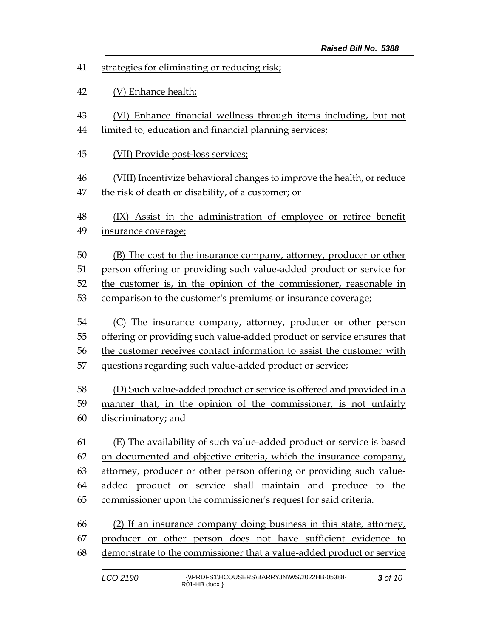- strategies for eliminating or reducing risk;
- (V) Enhance health;
- (VI) Enhance financial wellness through items including, but not
- limited to, education and financial planning services;
- (VII) Provide post-loss services;
- (VIII) Incentivize behavioral changes to improve the health, or reduce the risk of death or disability, of a customer; or
- (IX) Assist in the administration of employee or retiree benefit
- insurance coverage;

 (B) The cost to the insurance company, attorney, producer or other person offering or providing such value-added product or service for the customer is, in the opinion of the commissioner, reasonable in

- comparison to the customer's premiums or insurance coverage;
- (C) The insurance company, attorney, producer or other person
- offering or providing such value-added product or service ensures that
- the customer receives contact information to assist the customer with
- questions regarding such value-added product or service;
- (D) Such value-added product or service is offered and provided in a manner that, in the opinion of the commissioner, is not unfairly discriminatory; and
- (E) The availability of such value-added product or service is based on documented and objective criteria, which the insurance company, attorney, producer or other person offering or providing such value- added product or service shall maintain and produce to the commissioner upon the commissioner's request for said criteria.
- (2) If an insurance company doing business in this state, attorney, producer or other person does not have sufficient evidence to demonstrate to the commissioner that a value-added product or service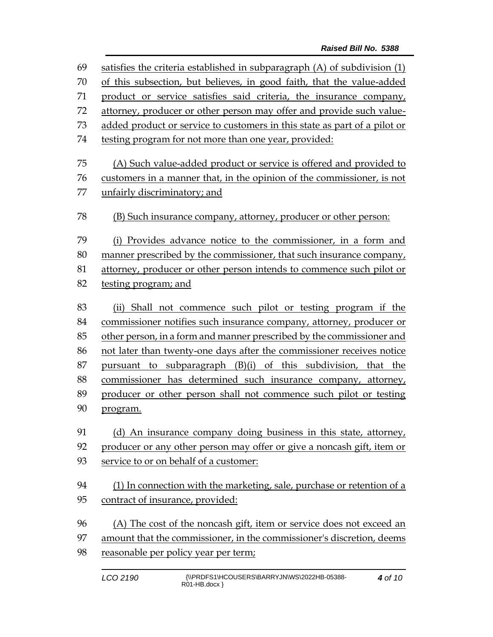| 69 | satisfies the criteria established in subparagraph $(A)$ of subdivision $(1)$ |  |  |
|----|-------------------------------------------------------------------------------|--|--|
| 70 | of this subsection, but believes, in good faith, that the value-added         |  |  |
| 71 | product or service satisfies said criteria, the insurance company,            |  |  |
| 72 | attorney, producer or other person may offer and provide such value-          |  |  |
| 73 | added product or service to customers in this state as part of a pilot or     |  |  |
| 74 | testing program for not more than one year, provided:                         |  |  |
| 75 | (A) Such value-added product or service is offered and provided to            |  |  |
| 76 | customers in a manner that, in the opinion of the commissioner, is not        |  |  |
| 77 | unfairly discriminatory; and                                                  |  |  |
| 78 | (B) Such insurance company, attorney, producer or other person:               |  |  |
| 79 | (i) Provides advance notice to the commissioner, in a form and                |  |  |
| 80 | manner prescribed by the commissioner, that such insurance company,           |  |  |
| 81 | attorney, producer or other person intends to commence such pilot or          |  |  |
| 82 | testing program; and                                                          |  |  |
| 83 | (ii) Shall not commence such pilot or testing program if the                  |  |  |
| 84 | commissioner notifies such insurance company, attorney, producer or           |  |  |
| 85 | other person, in a form and manner prescribed by the commissioner and         |  |  |
| 86 | not later than twenty-one days after the commissioner receives notice         |  |  |
| 87 | pursuant to subparagraph (B)(i) of this subdivision, that the                 |  |  |
| 88 | commissioner has determined such insurance company, attorney,                 |  |  |
| 89 | producer or other person shall not commence such pilot or testing             |  |  |
| 90 | program.                                                                      |  |  |
|    |                                                                               |  |  |
| 91 | (d) An insurance company doing business in this state, attorney,              |  |  |
| 92 | producer or any other person may offer or give a noncash gift, item or        |  |  |
| 93 | service to or on behalf of a customer:                                        |  |  |
| 94 | (1) In connection with the marketing, sale, purchase or retention of a        |  |  |
| 95 | contract of insurance, provided:                                              |  |  |
| 96 | (A) The cost of the noncash gift, item or service does not exceed an          |  |  |
| 97 | amount that the commissioner, in the commissioner's discretion, deems         |  |  |
| 98 | reasonable per policy year per term;                                          |  |  |
|    |                                                                               |  |  |
|    |                                                                               |  |  |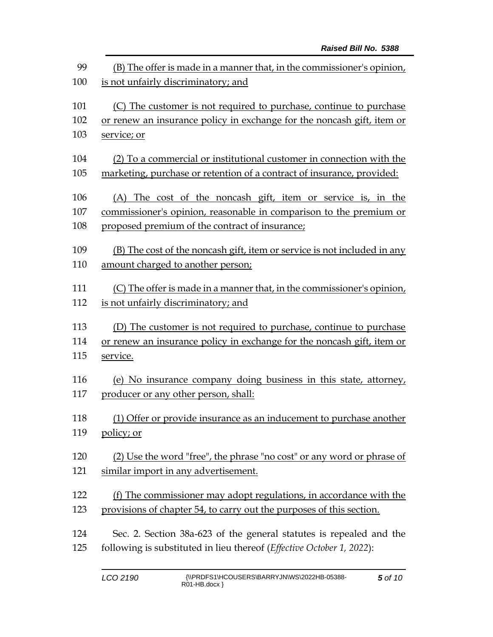| 99<br>100 | (B) The offer is made in a manner that, in the commissioner's opinion,<br>is not unfairly discriminatory; and |  |  |
|-----------|---------------------------------------------------------------------------------------------------------------|--|--|
|           |                                                                                                               |  |  |
| 101       | (C) The customer is not required to purchase, continue to purchase                                            |  |  |
| 102       | or renew an insurance policy in exchange for the noncash gift, item or                                        |  |  |
| 103       | service; or                                                                                                   |  |  |
| 104       | (2) To a commercial or institutional customer in connection with the                                          |  |  |
| 105       | marketing, purchase or retention of a contract of insurance, provided:                                        |  |  |
| 106       | (A) The cost of the noncash gift, item or service is, in the                                                  |  |  |
| 107       | commissioner's opinion, reasonable in comparison to the premium or                                            |  |  |
| 108       | proposed premium of the contract of insurance;                                                                |  |  |
| 109       | (B) The cost of the noncash gift, item or service is not included in any                                      |  |  |
| 110       | amount charged to another person;                                                                             |  |  |
| 111       | (C) The offer is made in a manner that, in the commissioner's opinion,                                        |  |  |
| 112       | is not unfairly discriminatory; and                                                                           |  |  |
| 113       | (D) The customer is not required to purchase, continue to purchase                                            |  |  |
| 114       | or renew an insurance policy in exchange for the noncash gift, item or                                        |  |  |
| 115       | service.                                                                                                      |  |  |
| 116       | (e) No insurance company doing business in this state, attorney,                                              |  |  |
| 117       | producer or any other person, shall:                                                                          |  |  |
| 118       | (1) Offer or provide insurance as an inducement to purchase another                                           |  |  |
| 119       | <u>policy; or</u>                                                                                             |  |  |
| 120       | (2) Use the word "free", the phrase "no cost" or any word or phrase of                                        |  |  |
| 121       | similar import in any advertisement.                                                                          |  |  |
| 122       | (f) The commissioner may adopt regulations, in accordance with the                                            |  |  |
| 123       | provisions of chapter 54, to carry out the purposes of this section.                                          |  |  |
| 124       | Sec. 2. Section 38a-623 of the general statutes is repealed and the                                           |  |  |
| 125       | following is substituted in lieu thereof (Effective October 1, 2022):                                         |  |  |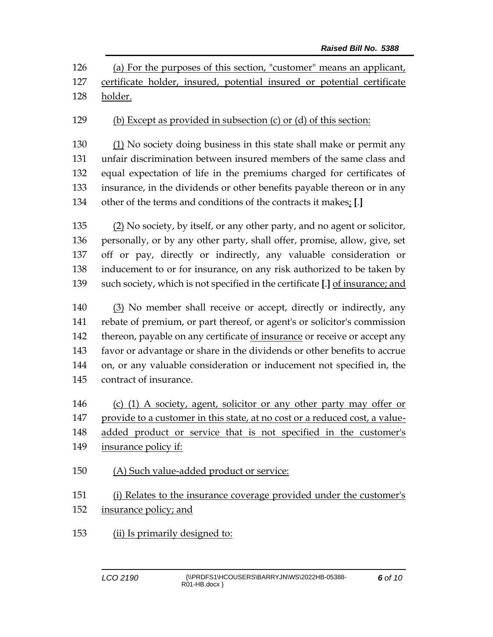(a) For the purposes of this section, "customer" means an applicant, certificate holder, insured, potential insured or potential certificate holder.

(b) Except as provided in subsection (c) or (d) of this section:

130 (1) No society doing business in this state shall make or permit any unfair discrimination between insured members of the same class and equal expectation of life in the premiums charged for certificates of insurance, in the dividends or other benefits payable thereon or in any other of the terms and conditions of the contracts it makes; **[**.**]**

 (2) No society, by itself, or any other party, and no agent or solicitor, personally, or by any other party, shall offer, promise, allow, give, set off or pay, directly or indirectly, any valuable consideration or inducement to or for insurance, on any risk authorized to be taken by such society, which is not specified in the certificate **[**.**]** of insurance; and

 (3) No member shall receive or accept, directly or indirectly, any rebate of premium, or part thereof, or agent's or solicitor's commission thereon, payable on any certificate of insurance or receive or accept any favor or advantage or share in the dividends or other benefits to accrue on, or any valuable consideration or inducement not specified in, the contract of insurance.

 (c) (1) A society, agent, solicitor or any other party may offer or provide to a customer in this state, at no cost or a reduced cost, a value-

added product or service that is not specified in the customer's

- insurance policy if:
- (A) Such value-added product or service:

 (i) Relates to the insurance coverage provided under the customer's insurance policy; and

(ii) Is primarily designed to: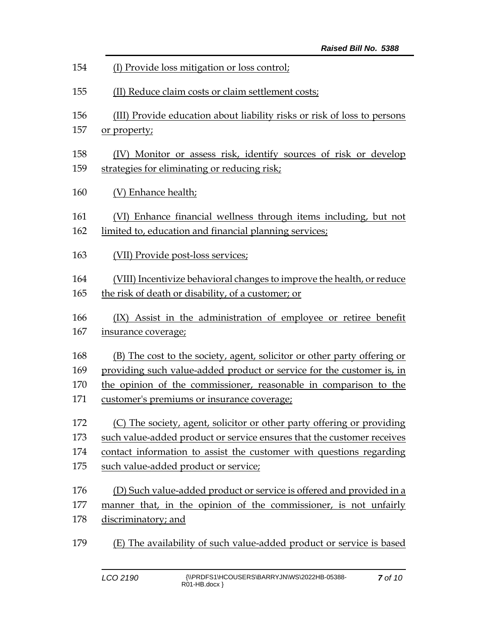| 154 | (I) Provide loss mitigation or loss control;                             |
|-----|--------------------------------------------------------------------------|
| 155 | (II) Reduce claim costs or claim settlement costs;                       |
| 156 | (III) Provide education about liability risks or risk of loss to persons |
| 157 | or property;                                                             |
| 158 | (IV) Monitor or assess risk, identify sources of risk or develop         |
| 159 | strategies for eliminating or reducing risk;                             |
| 160 | (V) Enhance health;                                                      |
| 161 | (VI) Enhance financial wellness through items including, but not         |
| 162 | limited to, education and financial planning services;                   |
| 163 | (VII) Provide post-loss services;                                        |
| 164 | (VIII) Incentivize behavioral changes to improve the health, or reduce   |
| 165 | the risk of death or disability, of a customer; or                       |
| 166 | (IX) Assist in the administration of employee or retiree benefit         |
| 167 | insurance coverage;                                                      |
| 168 | (B) The cost to the society, agent, solicitor or other party offering or |
| 169 | providing such value-added product or service for the customer is, in    |
| 170 | the opinion of the commissioner, reasonable in comparison to the         |
| 171 | customer's premiums or insurance coverage;                               |
| 172 | (C) The society, agent, solicitor or other party offering or providing   |
| 173 | such value-added product or service ensures that the customer receives   |
| 174 | contact information to assist the customer with questions regarding      |
| 175 | such value-added product or service;                                     |
| 176 | (D) Such value-added product or service is offered and provided in a     |
| 177 | manner that, in the opinion of the commissioner, is not unfairly         |
| 178 | discriminatory; and                                                      |
| 179 | (E) The availability of such value-added product or service is based     |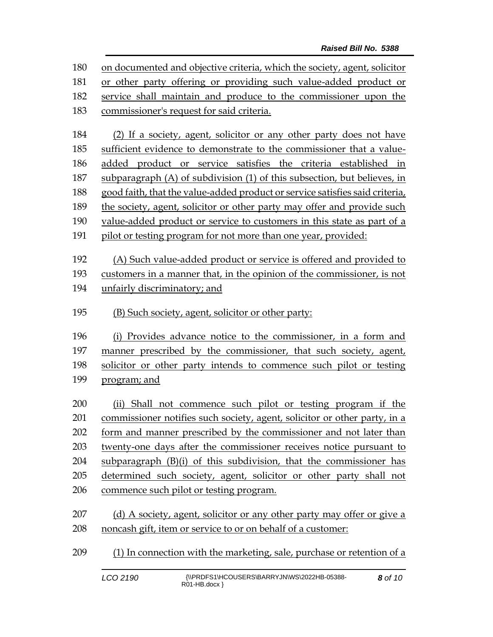on documented and objective criteria, which the society, agent, solicitor or other party offering or providing such value-added product or service shall maintain and produce to the commissioner upon the commissioner's request for said criteria.

 (2) If a society, agent, solicitor or any other party does not have sufficient evidence to demonstrate to the commissioner that a value- added product or service satisfies the criteria established in subparagraph (A) of subdivision (1) of this subsection, but believes, in good faith, that the value-added product or service satisfies said criteria, the society, agent, solicitor or other party may offer and provide such value-added product or service to customers in this state as part of a 191 pilot or testing program for not more than one year, provided:

(A) Such value-added product or service is offered and provided to

customers in a manner that, in the opinion of the commissioner, is not

- unfairly discriminatory; and
- (B) Such society, agent, solicitor or other party:

 (i) Provides advance notice to the commissioner, in a form and manner prescribed by the commissioner, that such society, agent, solicitor or other party intends to commence such pilot or testing program; and

 (ii) Shall not commence such pilot or testing program if the commissioner notifies such society, agent, solicitor or other party, in a form and manner prescribed by the commissioner and not later than twenty-one days after the commissioner receives notice pursuant to subparagraph (B)(i) of this subdivision, that the commissioner has determined such society, agent, solicitor or other party shall not commence such pilot or testing program.

209 (1) In connection with the marketing, sale, purchase or retention of a

<sup>207 (</sup>d) A society, agent, solicitor or any other party may offer or give a 208 noncash gift, item or service to or on behalf of a customer: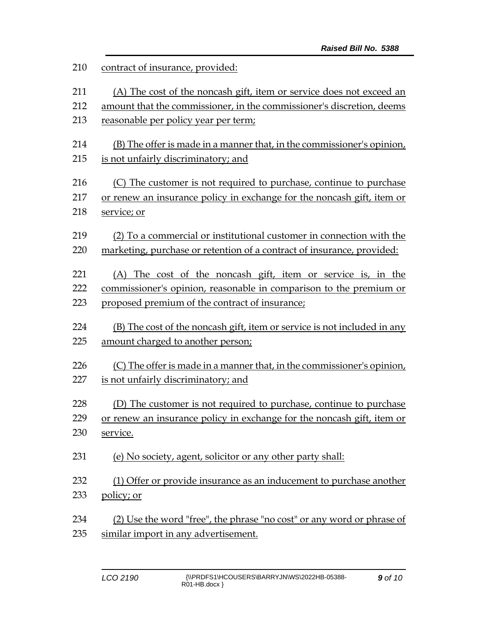| 210 | contract of insurance, provided:                                         |  |  |
|-----|--------------------------------------------------------------------------|--|--|
| 211 | (A) The cost of the noncash gift, item or service does not exceed an     |  |  |
| 212 | amount that the commissioner, in the commissioner's discretion, deems    |  |  |
| 213 | reasonable per policy year per term;                                     |  |  |
| 214 | (B) The offer is made in a manner that, in the commissioner's opinion,   |  |  |
| 215 | is not unfairly discriminatory; and                                      |  |  |
| 216 | (C) The customer is not required to purchase, continue to purchase       |  |  |
| 217 | or renew an insurance policy in exchange for the noncash gift, item or   |  |  |
| 218 | service; or                                                              |  |  |
| 219 | (2) To a commercial or institutional customer in connection with the     |  |  |
| 220 | marketing, purchase or retention of a contract of insurance, provided:   |  |  |
| 221 | (A) The cost of the noncash gift, item or service is, in the             |  |  |
| 222 | commissioner's opinion, reasonable in comparison to the premium or       |  |  |
| 223 | proposed premium of the contract of insurance;                           |  |  |
| 224 | (B) The cost of the noncash gift, item or service is not included in any |  |  |
| 225 | amount charged to another person;                                        |  |  |
| 226 | (C) The offer is made in a manner that, in the commissioner's opinion,   |  |  |
| 227 | is not unfairly discriminatory; and                                      |  |  |
| 228 | (D) The customer is not required to purchase, continue to purchase       |  |  |
| 229 | or renew an insurance policy in exchange for the noncash gift, item or   |  |  |
| 230 | service.                                                                 |  |  |
| 231 | (e) No society, agent, solicitor or any other party shall:               |  |  |
| 232 | (1) Offer or provide insurance as an inducement to purchase another      |  |  |
| 233 | policy; or                                                               |  |  |
| 234 | (2) Use the word "free", the phrase "no cost" or any word or phrase of   |  |  |
| 235 | similar import in any advertisement.                                     |  |  |